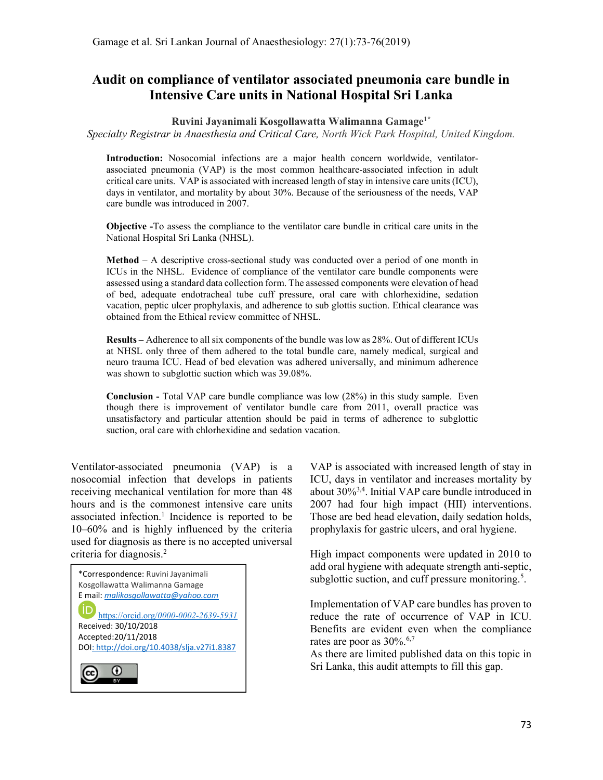# Audit on compliance of ventilator associated pneumonia care bundle in Intensive Care units in National Hospital Sri Lanka

#### Ruvini Jayanimali Kosgollawatta Walimanna Gamage<sup>1\*</sup>

Specialty Registrar in Anaesthesia and Critical Care, North Wick Park Hospital, United Kingdom.

Introduction: Nosocomial infections are a major health concern worldwide, ventilatorassociated pneumonia (VAP) is the most common healthcare-associated infection in adult critical care units. VAP is associated with increased length of stay in intensive care units (ICU), days in ventilator, and mortality by about 30%. Because of the seriousness of the needs, VAP care bundle was introduced in 2007.

Objective -To assess the compliance to the ventilator care bundle in critical care units in the National Hospital Sri Lanka (NHSL).

**Method** – A descriptive cross-sectional study was conducted over a period of one month in ICUs in the NHSL. Evidence of compliance of the ventilator care bundle components were assessed using a standard data collection form. The assessed components were elevation of head of bed, adequate endotracheal tube cuff pressure, oral care with chlorhexidine, sedation vacation, peptic ulcer prophylaxis, and adherence to sub glottis suction. Ethical clearance was obtained from the Ethical review committee of NHSL.

Results – Adherence to all six components of the bundle was low as 28%. Out of different ICUs at NHSL only three of them adhered to the total bundle care, namely medical, surgical and neuro trauma ICU. Head of bed elevation was adhered universally, and minimum adherence was shown to subglottic suction which was 39.08%.

Conclusion - Total VAP care bundle compliance was low (28%) in this study sample. Even though there is improvement of ventilator bundle care from 2011, overall practice was unsatisfactory and particular attention should be paid in terms of adherence to subglottic suction, oral care with chlorhexidine and sedation vacation.

Ventilator-associated pneumonia (VAP) is a nosocomial infection that develops in patients receiving mechanical ventilation for more than 48 hours and is the commonest intensive care units associated infection.<sup>1</sup> Incidence is reported to be 10–60% and is highly influenced by the criteria used for diagnosis as there is no accepted universal criteria for diagnosis.<sup>2</sup>



VAP is associated with increased length of stay in ICU, days in ventilator and increases mortality by about 30%3,4. Initial VAP care bundle introduced in 2007 had four high impact (HII) interventions. Those are bed head elevation, daily sedation holds, prophylaxis for gastric ulcers, and oral hygiene.

High impact components were updated in 2010 to add oral hygiene with adequate strength anti-septic, subglottic suction, and cuff pressure monitoring.<sup>5</sup>.

Implementation of VAP care bundles has proven to reduce the rate of occurrence of VAP in ICU. Benefits are evident even when the compliance rates are poor as  $30\%$ .<sup>6,7</sup>

As there are limited published data on this topic in Sri Lanka, this audit attempts to fill this gap.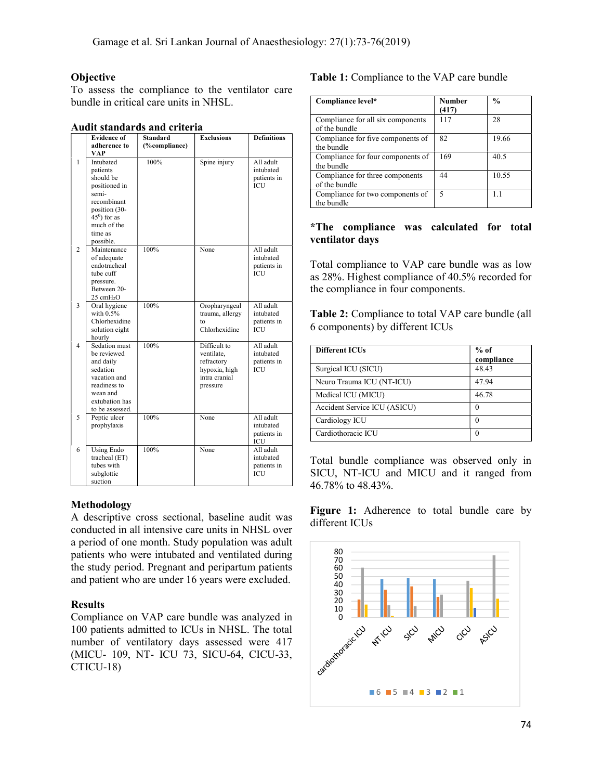## **Objective**

To assess the compliance to the ventilator care bundle in critical care units in NHSL.

|                | <b>Evidence of</b>                                                                                                                                    | <b>Standard</b> | <b>Exclusions</b>                                                                      | <b>Definitions</b>                                  |
|----------------|-------------------------------------------------------------------------------------------------------------------------------------------------------|-----------------|----------------------------------------------------------------------------------------|-----------------------------------------------------|
|                | adherence to                                                                                                                                          | (%compliance)   |                                                                                        |                                                     |
|                | <b>VAP</b>                                                                                                                                            |                 |                                                                                        |                                                     |
| 1              | Intubated<br>patients<br>should be<br>positioned in<br>semi-<br>recombinant<br>position (30-<br>$450$ ) for as<br>much of the<br>time as<br>possible. | 100%            | Spine injury                                                                           | All adult<br>intubated<br>patients in<br><b>ICU</b> |
| $\overline{c}$ | Maintenance<br>of adequate<br>endotracheal<br>tube cuff<br>pressure.<br>Between 20-<br>25 cmH <sub>2</sub> O                                          | 100%            | None                                                                                   | All adult<br>intubated<br>patients in<br><b>ICU</b> |
| 3              | Oral hygiene<br>with $0.5\%$<br>Chlorhexidine<br>solution eight<br>hourly                                                                             | 100%            | Oropharyngeal<br>trauma, allergy<br>to<br>Chlorhexidine                                | All adult<br>intubated<br>patients in<br><b>ICU</b> |
| $\overline{4}$ | Sedation must<br>be reviewed<br>and daily<br>sedation<br>vacation and<br>readiness to<br>wean and<br>extubation has<br>to be assessed.                | 100%            | Difficult to<br>ventilate.<br>refractory<br>hypoxia, high<br>intra cranial<br>pressure | All adult<br>intubated<br>patients in<br>ICU        |
| 5              | Peptic ulcer<br>prophylaxis                                                                                                                           | 100%            | None                                                                                   | All adult<br>intubated<br>patients in<br>ICU        |
| 6              | <b>Using Endo</b><br>tracheal (ET)<br>tubes with<br>subglottic<br>suction                                                                             | 100%            | None                                                                                   | All adult<br>intubated<br>patients in<br><b>ICU</b> |

## Methodology

A descriptive cross sectional, baseline audit was conducted in all intensive care units in NHSL over a period of one month. Study population was adult patients who were intubated and ventilated during the study period. Pregnant and peripartum patients and patient who are under 16 years were excluded.

### Results

Compliance on VAP care bundle was analyzed in 100 patients admitted to ICUs in NHSL. The total number of ventilatory days assessed were 417 (MICU- 109, NT- ICU 73, SICU-64, CICU-33, CTICU-18)

## Table 1: Compliance to the VAP care bundle

| Compliance level*                                  | <b>Number</b><br>(417) | $\frac{0}{0}$ |
|----------------------------------------------------|------------------------|---------------|
| Compliance for all six components<br>of the bundle | 117                    | 28            |
| Compliance for five components of<br>the bundle    | 82                     | 19.66         |
| Compliance for four components of<br>the bundle    | 169                    | 40.5          |
| Compliance for three components<br>of the bundle   | 44                     | 10.55         |
| Compliance for two components of<br>the bundle     | 5                      |               |

## \*The compliance was calculated for total ventilator days

Total compliance to VAP care bundle was as low as 28%. Highest compliance of 40.5% recorded for the compliance in four components.

Table 2: Compliance to total VAP care bundle (all 6 components) by different ICUs

| <b>Different ICUs</b>        | $%$ of<br>compliance |
|------------------------------|----------------------|
| Surgical ICU (SICU)          | 48.43                |
| Neuro Trauma ICU (NT-ICU)    | 47.94                |
| Medical ICU (MICU)           | 46.78                |
| Accident Service ICU (ASICU) | $\left($             |
| Cardiology ICU               | $\left($             |
| Cardiothoracic ICU           | $\left($             |

Total bundle compliance was observed only in SICU, NT-ICU and MICU and it ranged from 46.78% to 48.43%.

Figure 1: Adherence to total bundle care by different ICUs

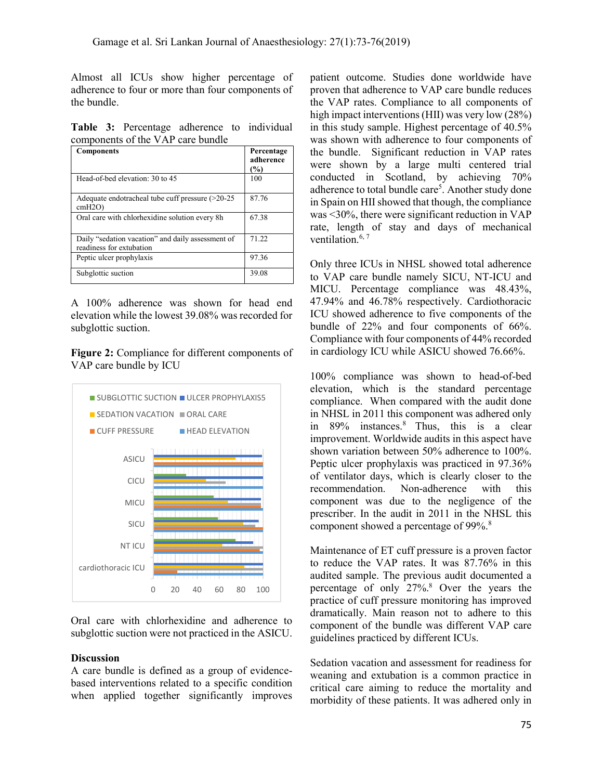Almost all ICUs show higher percentage of adherence to four or more than four components of the bundle.

Table 3: Percentage adherence to individual components of the VAP care bundle

| <b>Components</b>                                                             | Percentage<br>adherence<br>(%) |
|-------------------------------------------------------------------------------|--------------------------------|
| Head-of-bed elevation: 30 to 45                                               | 100                            |
| Adequate endotracheal tube cuff pressure $(>20-25)$<br>$cmH2O$ )              | 87.76                          |
| Oral care with chlorhexidine solution every 8h                                | 67.38                          |
| Daily "sedation vacation" and daily assessment of<br>readiness for extubation | 71.22                          |
| Peptic ulcer prophylaxis                                                      | 97.36                          |
| Subglottic suction                                                            | 39.08                          |

A 100% adherence was shown for head end elevation while the lowest 39.08% was recorded for subglottic suction.

Figure 2: Compliance for different components of VAP care bundle by ICU



Oral care with chlorhexidine and adherence to subglottic suction were not practiced in the ASICU.

#### **Discussion**

A care bundle is defined as a group of evidencebased interventions related to a specific condition when applied together significantly improves

patient outcome. Studies done worldwide have proven that adherence to VAP care bundle reduces the VAP rates. Compliance to all components of high impact interventions (HII) was very low (28%) in this study sample. Highest percentage of 40.5% was shown with adherence to four components of the bundle. Significant reduction in VAP rates were shown by a large multi centered trial conducted in Scotland, by achieving 70% adherence to total bundle care<sup>5</sup>. Another study done in Spain on HII showed that though, the compliance was <30%, there were significant reduction in VAP rate, length of stay and days of mechanical ventilation. $6, 7$ 

Only three ICUs in NHSL showed total adherence to VAP care bundle namely SICU, NT-ICU and MICU. Percentage compliance was 48.43%, 47.94% and 46.78% respectively. Cardiothoracic ICU showed adherence to five components of the bundle of 22% and four components of 66%. Compliance with four components of 44% recorded in cardiology ICU while ASICU showed 76.66%.

100% compliance was shown to head-of-bed elevation, which is the standard percentage compliance. When compared with the audit done in NHSL in 2011 this component was adhered only in 89% instances.<sup>8</sup> Thus, this is a clear improvement. Worldwide audits in this aspect have shown variation between 50% adherence to 100%. ASICU **ASICU** Peptic ulcer prophylaxis was practiced in 97.36% of ventilator days, which is clearly closer to the recommendation. Non-adherence with this recommendation. Non-adherence with this MICU **COMPONER COMPONENT WAS due to the negligence of the** prescriber. In the audit in 2011 in the NHSL this SICU **Component showed a percentage of 99%.<sup>8</sup>** ance for different components of<br>  $\frac{100\%}{100\%}$  ICU while ASICU showed 76.66%.<br>
DOWs compliance was shown to head-of-bed<br>
elevation, which is the standard percentage<br>
compliance. When compared with the audit done<br>
am

NT ICU **EXECUTE:** Maintenance of ET cuff pressure is a proven factor to reduce the VAP rates. It was 87.76% in this audited sample. The previous audit documented a percentage of only 27%.<sup>8</sup> Over the years the practice of cuff pressure monitoring has improved dramatically. Main reason not to adhere to this component of the bundle was different VAP care guidelines practiced by different ICUs.

> Sedation vacation and assessment for readiness for weaning and extubation is a common practice in critical care aiming to reduce the mortality and morbidity of these patients. It was adhered only in